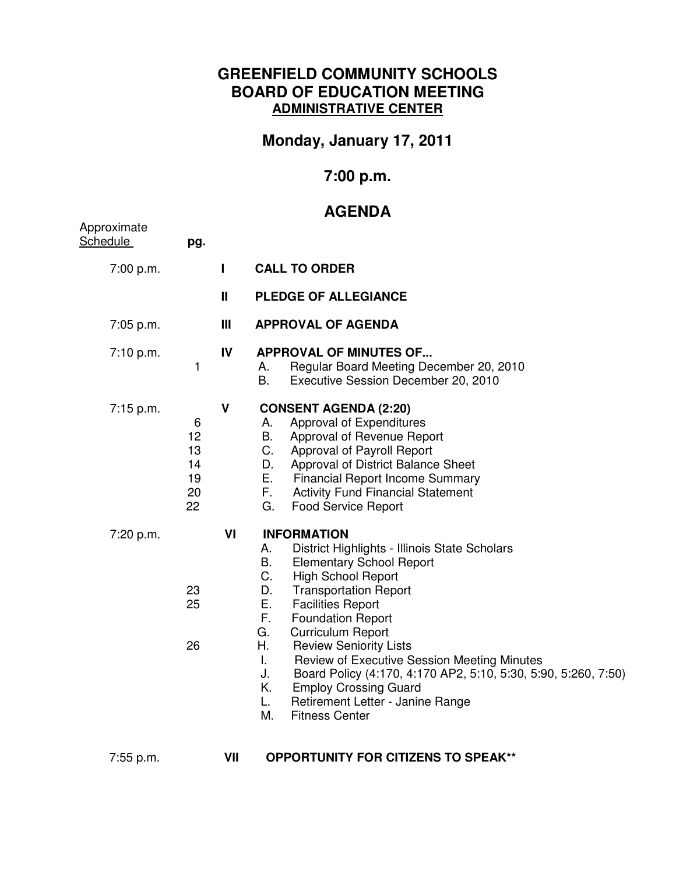## **GREENFIELD COMMUNITY SCHOOLS BOARD OF EDUCATION MEETING ADMINISTRATIVE CENTER**

## **Monday, January 17, 2011**

## **7:00 p.m.**

## **AGENDA**

| Approximate<br>Schedule | pg.                                   |               |                                                                                                                                                                                                                                                                                                                                                                                                                                                                                                                                                                                             |
|-------------------------|---------------------------------------|---------------|---------------------------------------------------------------------------------------------------------------------------------------------------------------------------------------------------------------------------------------------------------------------------------------------------------------------------------------------------------------------------------------------------------------------------------------------------------------------------------------------------------------------------------------------------------------------------------------------|
| 7:00 p.m.               |                                       | L             | <b>CALL TO ORDER</b>                                                                                                                                                                                                                                                                                                                                                                                                                                                                                                                                                                        |
|                         |                                       | $\mathbf{II}$ | <b>PLEDGE OF ALLEGIANCE</b>                                                                                                                                                                                                                                                                                                                                                                                                                                                                                                                                                                 |
| 7:05 p.m.               |                                       | Ш             | <b>APPROVAL OF AGENDA</b>                                                                                                                                                                                                                                                                                                                                                                                                                                                                                                                                                                   |
| 7:10 p.m.               | 1                                     | IV            | <b>APPROVAL OF MINUTES OF</b><br>Regular Board Meeting December 20, 2010<br>Α.<br><b>B.</b><br>Executive Session December 20, 2010                                                                                                                                                                                                                                                                                                                                                                                                                                                          |
| 7:15 p.m.               | 6<br>12<br>13<br>14<br>19<br>20<br>22 | $\mathbf v$   | <b>CONSENT AGENDA (2:20)</b><br>Approval of Expenditures<br>А.<br>В.<br>Approval of Revenue Report<br>C.<br>Approval of Payroll Report<br>Approval of District Balance Sheet<br>D.<br>Е.<br><b>Financial Report Income Summary</b><br>F.,<br><b>Activity Fund Financial Statement</b><br>G.<br><b>Food Service Report</b>                                                                                                                                                                                                                                                                   |
| 7:20 p.m.               | 23<br>25<br>26                        | VI            | <b>INFORMATION</b><br>District Highlights - Illinois State Scholars<br>А.<br><b>B.</b><br><b>Elementary School Report</b><br>C.<br><b>High School Report</b><br>D.<br><b>Transportation Report</b><br>Е.<br><b>Facilities Report</b><br>F.<br><b>Foundation Report</b><br><b>Curriculum Report</b><br>G.<br>Η.<br><b>Review Seniority Lists</b><br>L.<br>Review of Executive Session Meeting Minutes<br>Board Policy (4:170, 4:170 AP2, 5:10, 5:30, 5:90, 5:260, 7:50)<br>J.<br><b>Employ Crossing Guard</b><br>Κ.<br>L.<br>Retirement Letter - Janine Range<br>М.<br><b>Fitness Center</b> |

7:55 p.m. **VII OPPORTUNITY FOR CITIZENS TO SPEAK\*\***